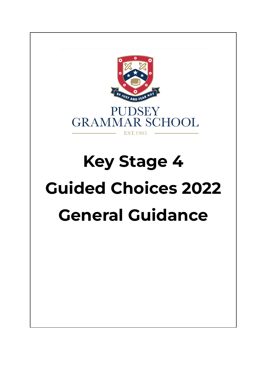

# **Key Stage 4 Guided Choices 2022 General Guidance**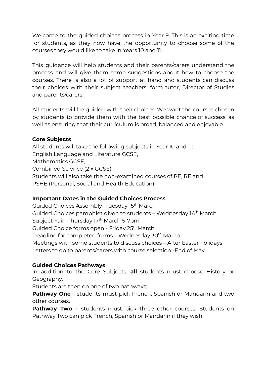Welcome to the guided choices process in Year 9. This is an exciting time for students, as they now have the opportunity to choose some of the courses they would like to take in Years 10 and 11.

This guidance will help students and their parents/carers understand the process and will give them some suggestions about how to choose the courses. There is also a lot of support at hand and students can discuss their choices with their subject teachers, form tutor, Director of Studies and parents/carers.

All students will be guided with their choices. We want the courses chosen by students to provide them with the best possible chance of success, as well as ensuring that their curriculum is broad, balanced and enjoyable.

# **Core Subjects**

All students will take the following subjects in Year 10 and 11: English Language and Literature GCSE, Mathematics GCSE, Combined Science (2 x GCSE). Students will also take the non-examined courses of PE, RE and PSHE (Personal, Social and Health Education).

#### **Important Dates in the Guided Choices Process**

Guided Choices Assembly- Tuesday 15<sup>th</sup> March Guided Choices pamphlet given to students – Wednesday 16<sup>th</sup> March Subject Fair -Thursday 17<sup>th</sup> March 5-7pm Guided Choice forms open - Friday 25<sup>th</sup> March Deadline for completed forms – Wednesday 30<sup>th</sup> March Meetings with some students to discuss choices – After Easter holidays Letters to go to parents/carers with course selection -End of May

#### **Guided Choices Pathways**

In addition to the Core Subjects, **all** students must choose History or Geography.

Students are then on one of two pathways;

**Pathway One** - students must pick French, Spanish or Mandarin and two other courses.

**Pathway Two -** students must pick three other courses. Students on Pathway Two can pick French, Spanish or Mandarin if they wish.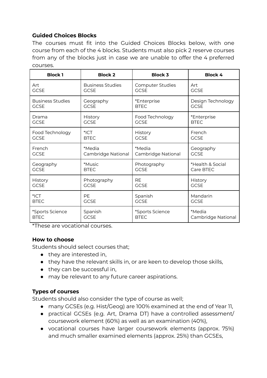# **Guided Choices Blocks**

The courses must fit into the Guided Choices Blocks below, with one course from each of the 4 blocks. Students must also pick 2 reserve courses from any of the blocks just in case we are unable to offer the 4 preferred courses.

| <b>Block1</b>           | <b>Block 2</b>          | <b>Block 3</b>     | <b>Block 4</b>     |
|-------------------------|-------------------------|--------------------|--------------------|
| Art                     | <b>Business Studies</b> | Computer Studies   | Art                |
| <b>GCSE</b>             | <b>GCSE</b>             | <b>GCSE</b>        | <b>GCSE</b>        |
| <b>Business Studies</b> | Geography               | *Enterprise        | Design Technology  |
| <b>GCSE</b>             | <b>GCSE</b>             | <b>BTFC</b>        | <b>GCSE</b>        |
| Drama                   | History                 | Food Technology    | *Enterprise        |
| <b>GCSE</b>             | <b>GCSE</b>             | <b>GCSE</b>        | <b>BTEC</b>        |
| Food Technology         | $^*$ ICT                | History            | French             |
| <b>GCSE</b>             | <b>BTEC</b>             | <b>GCSE</b>        | <b>GCSE</b>        |
| French                  | *Media                  | *Media             | Geography          |
| <b>GCSE</b>             | Cambridge National      | Cambridge National | <b>GCSE</b>        |
| Geography               | *Music                  | Photography        | *Health & Social   |
| <b>GCSE</b>             | <b>BTEC</b>             | <b>GCSE</b>        | Care BTEC          |
| History                 | Photography             | <b>RF</b>          | History            |
| <b>GCSE</b>             | <b>GCSE</b>             | <b>GCSE</b>        | <b>GCSE</b>        |
| $*$ ICT                 | <b>PE</b>               | Spanish            | Mandarin           |
| <b>BTEC</b>             | <b>GCSE</b>             | <b>GCSE</b>        | <b>GCSE</b>        |
| *Sports Science         | Spanish                 | *Sports Science    | *Media             |
| <b>BTFC</b>             | <b>GCSE</b>             | <b>BTFC</b>        | Cambridge National |

\*These are vocational courses.

#### **How to choose**

Students should select courses that;

- they are interested in,
- they have the relevant skills in, or are keen to develop those skills,
- they can be successful in,
- may be relevant to any future career aspirations.

#### **Types of courses**

Students should also consider the type of course as well;

- many GCSEs (e.g. Hist/Geog) are 100% examined at the end of Year 11,
- practical GCSEs (e.g. Art, Drama DT) have a controlled assessment/ coursework element (60%) as well as an examination (40%),
- vocational courses have larger coursework elements (approx. 75%) and much smaller examined elements (approx. 25%) than GCSEs,